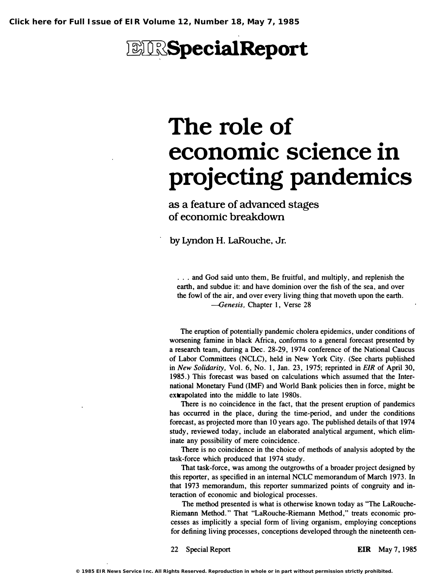# *<b>EIRSpecialReport*

# The role of economic science in projecting pandemics

as a feature of advanced stages of economic breakdown

by Lyndon H. LaRouche, Jr.

. . . and God said unto them, Be fruitful, and multiply, and replenish the earth, and subdue it: and have dominion over the fish of the sea, and over the fowl of the air, and over every living thing that moveth upon the earth. -Genesis. Chapter 1, Verse 28

The eruption of potentially pandemic cholera epidemics, under conditions of worsening famine in black Africa, conforms to a general forecast presented by a research team, during a Dec. 28-2�, 1974 conference of the National Caucus of Labor Committees (NCLC), held in New York City. (See charts published in New Solidarity. Vol. 6, No. 1, Jan. 23, 1975; reprinted in EIR of April 30, 1985.) This forecast was based on calculations which assumed that the International Monetary Fund (IMF) and World Bank policies then in force, might be extrapolated into the middle to late 1980s.

There is no coincidence in the fact, that the present eruption of pandemics has occurred in the place, during the time-period, and under the conditions forecast, as projected more than 10 years ago. The published details of that 1974 study, reviewed today, include an elaborated analytical argument, which eliminate any possibility of mere coincidence.

There is no coincidence in the choice of methods of analysis adopted by the task-force which produced that 1974 study.

That task-force, was among the outgrowths of a broader project designed by this reporter, as specified in an internal NCLC memorandum of March 1973. In that 1973 memorandum, this reporter summarized points of congruity and interaction of economic and biological processes.

The method presented is what is otherwise known today as ''The LaRouche-Riemann Method." That "LaRouche-Riemann Method," treats economic processes as implicitly a special form of living organism, employing conceptions for defining living processes, conceptions developed through the nineteenth cen-

22 Special Report **EIR** May 7, 1985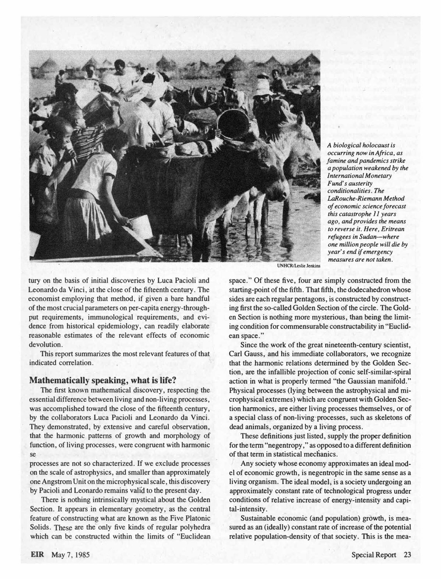

A biological holocaust is occurring now in Africa, as famine and pandemics strike a population weakened by the International Monetary Fund's austerity conditionalities. The LaRouche-Riemann Method of economic science forecast this catastrophe 11 years ago, and provides the means to reverse it. Here, Eritrean refugees in Sudan-where one million people will die by year's end if emergency measures are not taken.

tury on the basis of initial discoveries by Luca Pacioli and Leonardo da Vinci, at the close of the fifteenth century. The economist employing that method, if given a bare handful of the most crucial parameters on per-capita energy-throughput requirements, immunological requirements, and evidence from historical epidemiology, can readily elaborate reasonable estimates of the relevant effects of economic devolution.

This report summarizes the most relevant features of that indicated correlation.

#### Mathematically speaking, what is life?

The first known mathematical discovery, respecting the essential difference between living and non-living processes, was accomplished toward the close of the fifteenth century, by the collaborators Luca Pacioli and Leonardo da Vinci. They demonstrated, by extensive and careful observation, that the harmonic patterns of growth and morphology of function, of living processes, were congruent with harmonic

processes are not so characterized. If we exclude processes on the scale of astrophysics, and smaller than approximately one Angstrom Unit on the microphysical scale, this discovery by Pacioli and Leonardo remains valid to the present day.

There is nothing intrinsically mystical about the Golden Section. It appears in elementary geometry, as the central feature of constructing what are known as the Five Platonic Solids. These are the only five kinds of regular polyhedra which can be constructed within the limits of "Euclidean

**UNHCR/Leslie Jenkins** 

space." Of these five, four are simply constructed from the starting-point of the fifth. That fifth, the dodecahedron whose sides are each regular pentagons, is constructed by constructing first the so-called Golden Section of the circle. The Golden Section is nothing' more mysterious, than being the limiting condition for commensurable constructability in "Euclidean space. "

Since the work of the great nineteenth-century scientist, Carl Gauss, and his immediate collaborators, we recognize that the harmonic relations determined by the Golden Section, are the infallible projection of conic self-similar-spiral action in what is properly termed "the Gaussian manifold." Physical processes (lying between the astrophysical and microphysical extremes) which are congruent with Golden Section harmonics, are either living processes themselves, or of a special class of non-living processes, such as skeletons of dead animals, organized by a living process.

se, ries determined by the Golden Section, whereas non-living in statistical mechanics. These definitions just listed, supply the proper definition for the term "negentropy ," as opposed to a different definition

> Any society whose economy approximates an ideal model of economic growth, is negentropic in the same sense as a living organism. The ideal model, is a society un�ergoing an approximately constant rate of technological progress under conditions of relative increase of energy-intensity and capital-intensity .

> Sustainable economic (and population) growth, is measured as an (ideally) constant rate of increase of the potential relative population-density of that society. This is the mea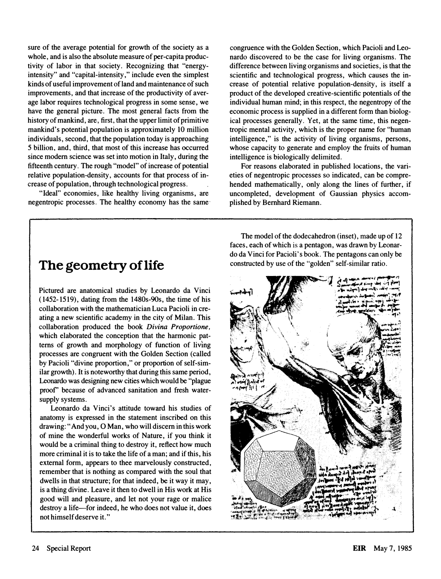sure of the average potential for growth of the society as a whole, and is also the absolute measure of per-capita productivity of labor in that society. Recognizing that "energyintensity" and "capital-intensity, " include even the simplest kinds of useful improvement of land and maintenance of such improvements, and that increase of the productivity of average labor requires technological progress in some sense, we have the general picture. The most general facts from the history of mankind, are, first, that the upper limit of primitive mankind's potential population is approximately 10 million individuals, second, that the population today is approaching 5 billion, and, third, that most of this increase has occurred since modern science was set into motion in Italy, during the fifteenth century. The rough "model" of increase of potential relative population-density, accounts for that process of increase of population, through technological progress.

"Ideal" economies, like healthy living organisms, are negentropic processes. The healthy economy has the same

congruence with the Golden Section, which Pacioli and Leonardo discovered to be the case for living organisms. The difference between living organisms and societies, is that the scientific and technological progress, which causes the increase of potential relative population-density, is itself a product of the developed creative-scientific potentials of the individual human mind; in this respect, the negentropy of the economic process is supplied in a different form than biological processes generally. Yet, at the same time, this negentropic mental activity, which is the proper name for "human intelligence," is the activity of living organisms, persons, whose capacity to generate and employ the fruits of human intelligence is biologically delimited.

For reasons elaborated in published locations, the varieties of negentropic processes so indicated, can be comprehended mathematically, only along the lines of further, if uncompleted, development of Gaussian physics accomplished by Bernhard Riemann.

### The geometry of life

Pictured are anatomical studies by Leonardo da Vinci (1452-1519), dating from the 1480s-9Os, the time of his collaboration with the mathematician Luca Pacioli in creating a new scientific academy in the city of Milan. This collaboration produced the book Divina Proportione, which elaborated the conception that the harmonic patterns of growth and morphology of function of living processes are congruent with the Golden Section (called by Pacioli "divine proportion," or proportion of self-similar growth). It is noteworthy that during this same period, Leonardo was designing new cities which would be "plague proof' because of advanced sanitation and fresh watersupply systems.

Leonardo da Vinci's attitude toward his studies of anatomy is expressed in the statement inscribed on this drawing: "And you, 0 Man, who will discern in this work of mine the wonderful works of Nature, if you think it would be a criminal thing to destroy it, reflect how much more criminal it is to take the life of a man; and if this, his external form, appears to thee marvelously constructed, remember that is nothing as compared with the soul that dwells in that structure; for that indeed, be it way it may, is a thing divine. Leave it then to dwell in His work at His good will and pleasure, and let not your rage or malice destroy a life-for indeed, he who does not value it, does not himself deserve it. "

The model of the dodecahedron (inset), made up of 12 faces, each of which is a pentagon, was drawn by Leonardo da Vinci for Pacioli' s book. The pentagons can only be constructed by use of the "golden" self-similar ratio.

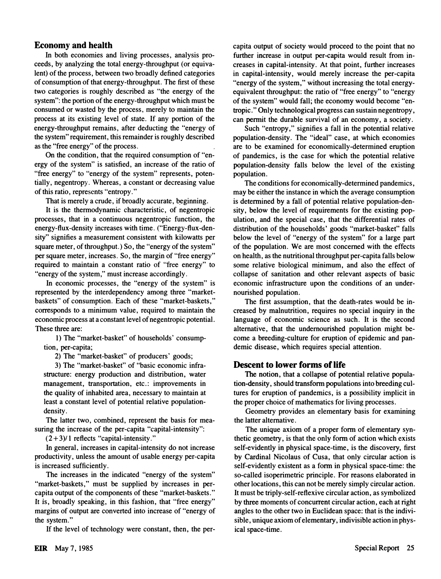#### Economy and health

In both economies and living processes, analysis proceeds, by analyzing the total energy-throughput (or equivalent) of the process, between two broadly defined categories of consumption of that energy-throughput. The first of these two categories is roughly described as "the energy of the system": the portion of the energy-throughput which must be consumed or wasted by the process, merely to maintain the process at its existing level of state. If any portion of the energy-throughput remains, after deducting the "energy of the system" requirement, this remainder is roughly described as the "free energy" of the process.

On the condition, that the required consumption of "energy of the system" is satisfied, an increase of the ratio of "free energy" to "energy of the system" represents, potentially, negentropy. Whereas, a constant or decreasing value of this ratio, represents "entropy. "

That is merely a crude, if broadly accurate, beginning.

It is the thermodynamic characteristic, of negentropic processes, that in a continuous negentropic function, the energy-flux-density increases with time. ("Energy-flux-density" signifies a measurement consistent with kilowatts per square meter, of throughput.) So, the "energy of the system" per square meter, increases. So, the margin of "free energy" required to maintain a constant ratio of "free energy" to "energy of the system," must increase accordingly.

In economic processes, the "energy of the system" is represented by the interdependency among three "marketbaskets" of consumption. Each of these "market-baskets," corresponds to a minimum value, required to maintain the economic process at a constant level of negentropic potential. These three are:

1) The "market-basket" of households' consumption, per-capita;

2) The "market-basket" of producers' goods;

3) The "market-basket" of "basic economic infrastructure: energy production and distribution, water management, transportation, etc.: improvements in the quality of inhabited area, necessary to maintain at least a constant level of potential relative populationdensity.

The latter two, combined, represent the basis for measuring the increase of the per-capita "capital-intensity":

 $(2+3)/1$  reflects "capital-intensity."

In general, increases in capital-intensity do not increase productivity, unless the amount of usable energy per-capita is increased sufficiently.

The increases in the indicated "energy of the system" "market-baskets," must be supplied by increases in percapita output of the components of these "market-baskets. " It is, broadly speaking, in this fashion, that "free energy" margins of output are converted into increase of "energy of the system. "

If the level of technology were constant, then, the per-

capita output of society would proceed to the point that no further increase in output per-capita would result from increases in capital-intensity. At that point, further increases in capital-intensity, would merely increase the per-capita "energy of the system, " without increasing the total energyequivalent throughput: the ratio of "free energy" to "energy of the system" would fall; the economy would become "entropic. " Only technological progress can sustain negentropy, can permit the durable survival of an economy, a society.

Such "entropy," signifies a fall in the potential relative population-density. The "ideal" case, at which economies are to be examined for economically-determined eruption of pandemics, is the case for which the potential relative population-density falls below the level of the existing population.

The conditions for economically-determined pandemics, may be either the instance in which the average consumption is determined by a fall of potential relative population-density, below the level of requirements for the existing population, and the special case, that the differential rates of distribution of the households' goods "market-basket" falls below the level of "energy of the system" for a large part of the population. We are most concerned with the effects on health, as the nutritional throughput per-capita falls below some relative biological minimum, and also the effect of collapse of sanitation and other relevant aspects of basic economic infrastructure upon the conditions of an undernourished population.

The first assumption, that the death-rates would be increased by malnutrition, requires no special inquiry in the language of economic science as such. It is the second alternative, that the undernourished population might become a breeding-culture for eruption of epidemic and pandemic disease, which requires special attention.

#### Descent to lower forms of life

The notion, that a collapse of potential relative population-density, should transform populations into breeding cultures for eruption of pandemics, is a possibility implicit in the proper choice of mathematics for living processes.

Geometry provides an elementary basis for examining the latter alternative.

The unique axiom of a proper form of elementary synthetic geometry, is that the only form of action which exists self-evidently in physical space-time, is the discovery, first by Cardinal Nicolaus of Cusa, that only circular action is self-evidently existent as a form in physical space-time: the so-called isoperimetric principle. For reasons elaborated in other locations, this can not be merely simply circular action. It must be triply-self-reflexive circular action, as symbolized by three moments of concurrent circular action, each at right angles to the other two in Euclidean space: that is the indivisible, unique axiom of elementary, indivisible action in physical space-time.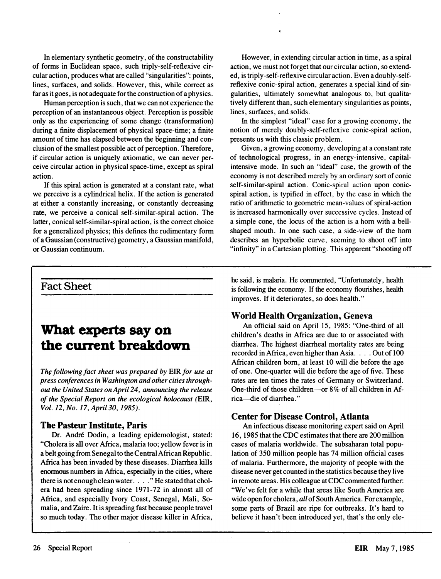In elementary synthetic geometry, of the constructability of forms in Euclidean space, such triply-self-reflexive circular action, produces what are called "singularities": points, lines, surfaces, and solids. However, this, while correct as far as it goes, is not adequate for the construction of a physics.

Human perception is such, that we can not experience the perception of an instantaneous object. Perception is possible only as the experiencing of some change (transformation) during a finite displacement of physical space-time; a finite amount of time has elapsed between the beginning and conclusion of the smallest possible act of perception. Therefore, if circular action is uniquely axiomatic, we can never perceive circular action in physical space-time, except as spiral action.

If this spiral action is generated at a constant rate, what we perceive is a cylindrical helix. If the action is generated at either a constantly increasing, or constantly decreasing rate, we perceive a conical self-similar-spiral action. The latter, conical self-similar-spiral action, is the correct choice for a generalized physics; this defines the rudimentary form of a Gaussian (constructive) geometry, a Gaussian manifold, or Gaussian continuum.

However, in extending circular action in time, as a spiral action, we must not forget that our circular action, so extended, is triply-self-reflexive circular action. Even a doubly-selfreflexive conic-spiral action, generates a special kind of singularities, ultimately somewhat analogous to, but qualitatively different than, such elementary singularities as points, lines, surfaces, and solids.

In the simplest "ideal" case for a growing economy, the notion of merely doubly-self-reflexive conic-spiral action, presents us with this classic problem.

Given, a growing economy, developing at a constant rate of technological progress, in an energy-intensive, capitalintensive mode. In such an "ideal" case, the growth of the economy is not described merely by an ordinary sort of conic self-similar-spiral action. Conic-spiral action upon conicspiral action, is typified in effect, by the case in which the ratio of arithmetic to geometric mean-values of spiral-action is increased harmonically over successive cycles. Instead of a simple cone, the locus of the action is a hom with a bellshaped mouth. In one such case, a side-view of the hom describes an hyperbolic curve, seeming to shoot off into "infinity" in a Cartesian plotting. This apparent "shooting off

#### Fact Sheet

## What experts say on the current breakdown

The following fact sheet was prepared by EIR for use at press conferences in Washington and other cities throughout the United States on April 24, announcing the release of the Special Report on the ecological holocaust (EIR, Vol. 12, No. 17, April 30, 1985).

#### The Pasteur Institute, Paris

Dr. André Dodin, a leading epidemologist, stated: "Cholera is all over Africa, malaria too; yellow fever is in a belt going from Senegal to the Central African Republic. Africa has been invaded by these diseases. Diarrhea kills enormous numbers in Africa, especially in the cities, where there is not enough clean water. . . ." He stated that cholera had been spreading since 1971-72 in almost all of Africa, and especially Ivory Coast, Senegal, Mali, Somalia, and Zaire. It is spreading fast because people travel so much today. The other major disease killer in Africa,

he said, is malaria. He commented, "Unfortunately, health is following the economy. If the economy flourishes, health improves. If it deteriorates, so does health. "

#### World Health Organization, Geneva

An official said on April 15, 1985: "One-third of all· children's deaths in Africa are due to or associated with diarrhea. The highest diarrheal mortality rates are being recorded in Africa, even higher than Asia. . . . Out of 100 African children born, at least 10 will die before the age of one. One-quarter will die before the age of five. These rates are ten times the rates of Germany or Switzerland. One-third of those children-or 8% of all children in Africa-die of diarrhea."

#### **Center for Disease Control, Atlanta**

An infectious disease monitoring expert said on April 16, 1985 that the CDC estimates that there are 200 million cases of malaria worldwide. The subsaharan total population of 350 million people has 74 million official cases of malaria. Furthermore, the majority of people with the disease never get counted in the statistics because they live in remote areas. His colleague at CDC commented further: "We've felt for a while that areas like South America are wide open for cholera, all of South America. For example, some parts of Brazil are ripe for outbreaks. It's hard to believe it hasn't been introduced yet, that's the only ele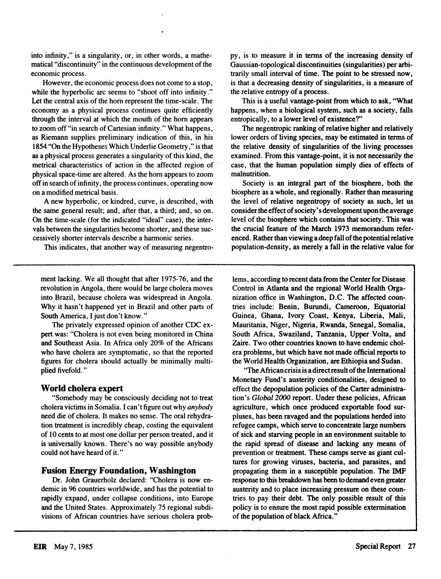into infinity," is a singularity, or, in other words, a mathematical "discontinuity" in the continuous development of the economic process.

However, the economic process does not come to a stop, while the hyperbolic arc seems to "shoot off into infinity." Let the central axis of the hom represent the time-scale. The economy as a physical process continues quite efficiently through the interval at which the mouth of the hom appears to zoom off "in search of Cartesian infinity." What happens, as Riemann supplies preliminary indication of this, in his 1854 "On the Hypotheses Which Underlie Geometry, " is that as a physical process generates a singularity of this kind, the metrical characteristics of action in the affected region of physical space-time are altered. As the hom appears to zoom off in search of infinity, the process continues, operating now on a modified metrical basis.

A new hyperbolic, or kindred, curve, is described, with the same general result; and, after that, a third; and, so on. On the time-scale (for the indicated "ideal" case), the intervals between the singularities become shorter, and these successively shorter intervals describe a harmonic series.

This indicates, that another way of measuring negentro-

ment lacking. We all thought that after 1975-76, and the revolution in Angola, there would be large cholera moves into Brazil, because cholera was widespread in Angola. Why it hasn't happened yet in Brazil and other parts of South America, I just don't know."

The privately expressed opinion of another CDC expert was: "Cholera is not even being monitored in China and Southeast Asia. In Africa only 20% of the Africans who have cholera are symptomatic, so that the reported figures for cholera should actually be minimally multiplied fivefold."

#### World cholera expert

"Somebody may be consciously deciding not to treat cholera victims in Somalia. I can't figure out why *anybody* need die of cholera. It makes no sense. The oral rehydration treatment is incredibly cheap, costing the equivalent of 10 cents to at most one dollar per person treated, and it is universally known. There's no way possible anybody could not have heard of it."

#### Fusion Energy Foundation, Washington

Dr. John Grauerholz declared: "Cholera is now endemic in 96 countries worldwide, and has the potential to rapidly expand, under collapse conditions, into Europe and the United States. Approximately 75 regional subdivisions of African countries have serious cholera probpy, is to measure it in tenns of the increasing density of Gaussian-topological discontinuities (singularities) per arbitrarily small interval of time. The point to be stressed now, is that a decreasing density of singularities, is a measure of the relative entropy of a process.

This is a useful vantage-point from which to ask, "What happens, when a biological system. such as a society, falls entropically, to a lower level of existence?"

The negentropic ranking of relative higher and relatively lower orders of living species, may be estimated in terms of the relative density of singularities of the living processes examined. From this vantage-point. it is not necessarily the case, that the human population simply dies of effects of malnutrition.

Society is an integral part of the biosphere. both the biosphere as a whole. and regionally. Rather than measuring the level of relative negentropy of society as such, let us consider the effect of society's development upon the average level of the biosphere which contains that society. This was the crucial feature of the March 1973 memorandum referenced. Rather than viewing a deep fall of the potential relative population-density, as merely a fall in the relative value for

lems, according to recent data from the Center for Disease Control in Atlanta and the regional World Health Organization office in Washington, D.C. The affected countries include: Benin, Burundi, Cameroon, Equatorial Guinea, Ghana, Ivory Coast, Kenya, Liberia, Mali, Mauritania, Niger, Nigeria, Rwanda, Senegal, Somalia, South Africa, Swaziland, Tanzania, Upper Volta, and Zaire. Two other countries known to have endemic cholera problems, but which have not made official reports to the World Health Organization, are Ethiopia and Sudan.

"The African crisis is a direct result of the International Monetary Fund's austerity conditionalities, designed to effect the depopulation policies of the Carter administration's Global 2000 report. Under these policies, African agriculture, which once produced exportable food surpluses, has been ravaged and the populations herded into refugee camps, which serve to concentrate large numbers of sick and starving people in an environment suitable to the rapid spread of disease and lacking any means of prevention or treatment. These camps serve as giant cultures for growing viruses, bacteria, and parasites, and propagating them in a susceptible population. The IMP response to this breakdown has been to demand even greater austerity and to place increasing pressure on these countries to pay their debt. The only possible result of this policy is to ensure the most rapid possible extermination of the population of black Africa."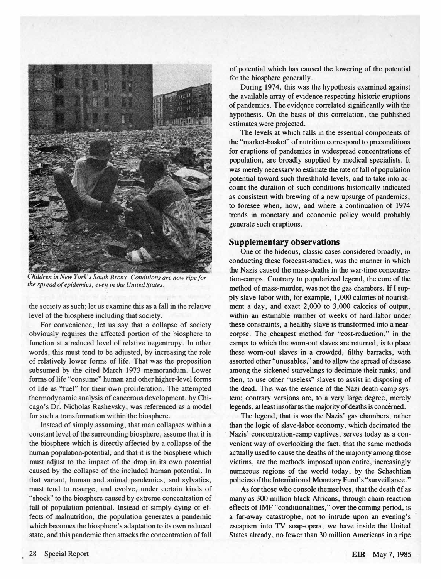

Children in New York's South Bronx. Conditions are now ripe for the spread of epidemics, even in the United States.

the society as such; let us examine this as a fall in the relative level of the biosphere including that society.

For convenience, let us say that a collapse of society obviously requires the affected portion of the biosphere to function at a reduced level of relative negentropy. In other words, this must tend to be adjusted, by increasing the role of relatively lower forms of life. That was the proposition subsumed by the cited March 1973 memorandum. Lower forms of life "consume" human and other higher-level forms of life as "fuel" for their own proliferation. The attempted thermodynamic analysis of cancerous development, by Chicago's Dr. Nic�olas Rashevsky, was referenced as a model for such a transformation within the biosphere.

Instead of simply assuming, that man collapses within a constant level of the surrounding biosphere, assume that it is the biosphere which is directly affected by a collapse of the human population-potential, and that it is the biosphere which must adjust to the impact of the drop in its own potential caused by the collapse of the included human potential. In that variant, human and animal pandemics, and sylvatics, must tend to resurge, and evolve, under certain kinds of "shock" to the biosphere caused by extreme concentration of fall of population-potential. Instead of simply dying of effects of malnutrition, the population generates a pandemic which becomes the biosphere's adaptation to its own reduced state, and this pandemic then attacks the concentration of fall

of potential which has caused the lowering of the potential for the biosphere generally.

During 1974, this was the hypothesis examined against the available array of evidence respecting historic eruptions of pandemics. The evidence correlated significantly with the hypothesis. On the basis of this correlation, the published estimates were projected.

The levels at which falls in the essential components of the "market-basket" of nutrition correspond to preconditions for eruptions of pandemics in widespread concentrations of population, are broadly supplied by medical specialists. It was merely necessary to estimate the rate of fall of population potential toward such threshhold-Ievels, and to take into account the duration of such conditions historically indicated as consistent with brewing of a new upsurge of pandemics, to foresee when, how, and where a continuation of 1974 trends in monetary and economic policy would probably generate such eruptions.

#### Supplementary observations

One of the hideous, classic cases considered broadly, in conducting these forecast-studies, was the manner in which the Nazis caused the mass-deaths in the war-time concentration-camps. Contrary to popularized legend, the core of the method of mass-murder, was not the gas chambers. If I supply slave-labor with, for example, 1,000 calories of nourishment a day, and exact 2,000 to 3,000 calories of output, within an estimable number of weeks of hard labor under these constraints, a healthy slave is transformed into a nearcorpse. The cheapest method for "cost-reduction;" in the camps to which the worn-out slaves are returned, is to place these worn-out slaves in a crowded, filthy barracks, with assorted other "unusables," and to allow the spread of disease among the sickened starvelings to decimate their ranks, and then, to use other "useless" slaves to assist in disposing of the dead. This was the essence of the Nazi death-camp system; contrary versions are, to a very large degree, merely legends, at least insofar as the majority of deaths is concerned.

The legend, that is was the Nazis' gas chambers, rather than the logic of slave-labor economy, which decimated the Nazis' concentration-camp captives, serves today as a convenient way of overlooking the fact, that the same methods actually used to cause the deaths of the majority among those victims, are the methods imposed upon entire, increasingly numerous regions of the world today, by the Schachtian policies of the International Monetary Fund's "surveillance."

As for those who console themselves, that the death 6f as many as 300 million black Africans, through chain-reaction effects of IMF "conditionalities," over the coming period, is a far-away catastrophe, not to intrude upon an evening's escapism into TV soap-opera, we have inside the United States already, no fewer than 30 million Americans in a ripe